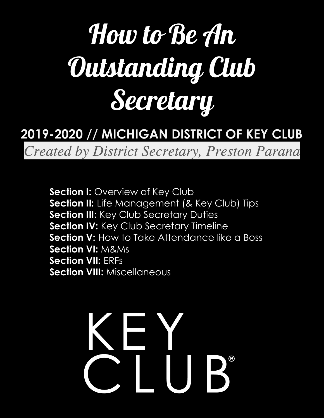# How to Be An Outstanding Club Secretary

### **2019-2020 // MICHIGAN DISTRICT OF KEY CLUB**

Created by District Secretary, Preston Parana

**Section I: Overview of Key Club Section II:** Life Management (& Key Club) Tips **Section III:** Key Club Secretary Duties **Section IV: Key Club Secretary Timeline Section V:** How to Take Attendance like a Boss **Section VI:** M&Ms **Section VII:** ERFs **Section VIII:** Miscellaneous

# **SEX**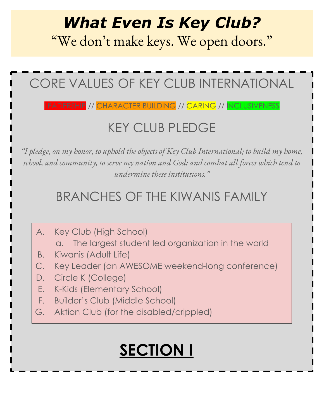# *What Even Is Key Club?*

"We don't make keys. We open doors."

# CORE VALUES OF KEY CLUB INTERNATIONAL

#### EADERSHIP // CHARACTER BUILDING // <mark>CARING // I</mark>NCLUSIVENESS

### KEY CLUB PLEDGE

*"I pledge, on my honor, to uphold the objects of Key Club International; to build my home, school, and community, to serve my nation and God; and combat all forces which tend to undermine these institutions."*

### BRANCHES OF THE KIWANIS FAMILY

- A. Key Club (High School)
	- a. The largest student led organization in the world
- B. Kiwanis (Adult Life)
- C. Key Leader (an AWESOME weekend-long conference)
- D. Circle K (College)
- E. K-Kids (Elementary School)
- F. Builder's Club (Middle School)
- G. Aktion Club (for the disabled/crippled)

# **SECTION I**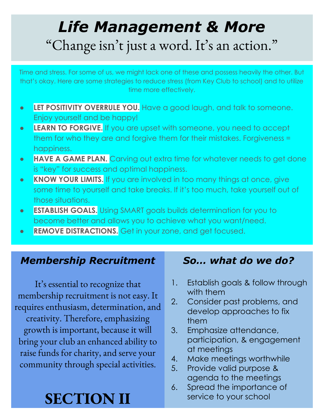# *Life Management & More* "Change isn't just a word. It's an action."

Time and stress. For some of us, we might lack one of these and possess heavily the other. But that's okay. Here are some strategies to reduce stress (from Key Club to school) and to utilize time more effectively.

- **● LET POSITIVITY OVERRULE YOU.** Have a good laugh, and talk to someone. Enjoy yourself and be happy!
- **● LEARN TO FORGIVE.** If you are upset with someone, you need to accept them for who they are and forgive them for their mistakes. Forgiveness = happiness.
- **● HAVE A GAME PLAN.** Carving out extra time for whatever needs to get done is "key" for success and optimal happiness.
- **● KNOW YOUR LIMITS.** If you are involved in too many things at once, give some time to yourself and take breaks. If it's too much, take yourself out of those situations.
- **● ESTABLISH GOALS.** Using SMART goals builds determination for you to become better and allows you to achieve what you want/need.
- **● REMOVE DISTRACTIONS.** Get in your zone, and get focused.

#### *Membership Recruitment*

It's essential to recognize that membership recruitment is not easy. It requires enthusiasm, determination, and creativity. Therefore, emphasizing growth is important, because it will bring your club an enhanced ability to raise funds for charity, and serve your community through special activities.

# **SECTION II**

#### *So… what do we do?*

- 1. Establish goals & follow through with them
- 2. Consider past problems, and develop approaches to fix them
- 3. Emphasize attendance, participation, & engagement at meetings
- 4. Make meetings worthwhile
- 5. Provide valid purpose & agenda to the meetings
- 6. Spread the importance of service to your school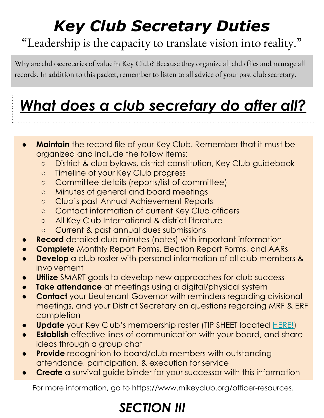# *Key Club Secretary Duties*

### "Leadership is the capacity to translate vision into reality."

Why are club secretaries of value in Key Club? Because they organize all club files and manage all records. In addition to this packet, remember to listen to all advice of your past club secretary.

# *What does a club secretary do after all?*

- **Maintain** the record file of your Key Club. Remember that it must be organized and include the follow items:
	- District & club bylaws, district constitution, Key Club guidebook
	- Timeline of your Key Club progress
	- Committee details (reports/list of committee)
	- Minutes of general and board meetings
	- Club's past Annual Achievement Reports
	- Contact information of current Key Club officers
	- All Key Club International & district literature
	- Current & past annual dues submissions
- **Record** detailed club minutes (notes) with important information
- **Complete** Monthly Report Forms, Election Report Forms, and AARs
- **Develop** a club roster with personal information of all club members & involvement
- **Utilize** SMART goals to develop new approaches for club success
- **Take attendance** at meetings using a digital/physical system
- **Contact** your Lieutenant Governor with reminders regarding divisional meetings, and your District Secretary on questions regarding MRF & ERF completion
- **Update** your Key Club's membership roster (TIP SHEET located [HERE!](https://docs.wixstatic.com/ugd/16a025_c495adf587084a02984c2472de2856ac.pdf))
- **Establish** effective lines of communication with your board, and share ideas through a group chat
- **Provide** recognition to board/club members with outstanding attendance, participation, & execution for service
- **Create** a survival guide binder for your successor with this information

For more information, go to https://www.mikeyclub.org/officer-resources.

### *SECTION III*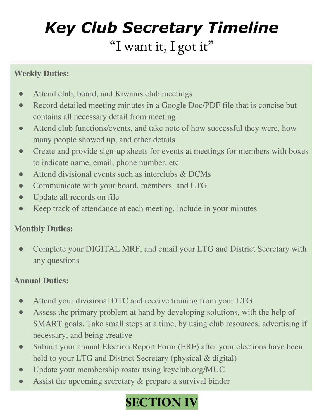# *Key Club Secretary Timeline* "I want it, I got it"

#### **Weekly Duties:**

- Attend club, board, and Kiwanis club meetings  $\bullet$
- Record detailed meeting minutes in a Google Doc/PDF file that is concise but  $\bullet$ contains all necessary detail from meeting
- Attend club functions/events, and take note of how successful they were, how many people showed up, and other details
- Create and provide sign-up sheets for events at meetings for members with boxes to indicate name, email, phone number, etc.
- Attend divisional events such as interclubs & DCMs ●
- Communicate with your board, members, and LTG
- Update all records on file ●
- Keep track of attendance at each meeting, include in your minutes

#### **Monthly Duties:**

● Complete your DIGITAL MRF, and email your LTG and District Secretary with any questions

#### **Annual Duties:**

- Attend your divisional OTC and receive training from your LTG  $\bullet$
- Assess the primary problem at hand by developing solutions, with the help of  $\bullet$ SMART goals. Take small steps at a time, by using club resources, advertising if necessary, and being creative
- Submit your annual Election Report Form (ERF) after your elections have been ● held to your LTG and District Secretary (physical & digital)
- Update your membership roster using keyclub.org/MUC  $\bullet$
- Assist the upcoming secretary & prepare a survival binder  $\bullet$

### **SECTION IV**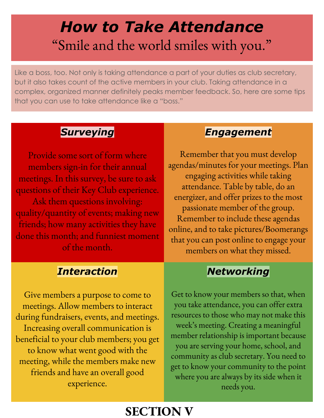# *How to Take Attendance* "Smile and the world smiles with you."

Like a boss, too. Not only is taking attendance a part of your duties as club secretary, but it also takes count of the active members in your club. Taking attendance in a complex, organized manner definitely peaks member feedback. So, here are some tips that you can use to take attendance like a "boss."

#### *Surveying*

Provide some sort of form where members sign-in for their annual meetings. In this survey, be sure to ask questions of their Key Club experience. Ask them questions involving: quality/quantity of events; making new friends; how many activities they have done this month; and funniest moment of the month.

#### *Interaction*

Give members a purpose to come to meetings. Allow members to interact during fundraisers, events, and meetings. Increasing overall communication is beneficial to your club members; you get to know what went good with the meeting, while the members make new friends and have an overall good experience.

#### *Engagement*

Remember that you must develop agendas/minutes for your meetings. Plan engaging activities while taking attendance. Table by table, do an energizer, and offer prizes to the most passionate member of the group. Remember to include these agendas online, and to take pictures/Boomerangs that you can post online to engage your members on what they missed.

#### *Networking*

Get to know your members so that, when you take attendance, you can offer extra resources to those who may not make this week's meeting. Creating a meaningful member relationship is important because you are serving your home, school, and community as club secretary. You need to get to know your community to the point where you are always by its side when it needs you.

#### **SECTION V**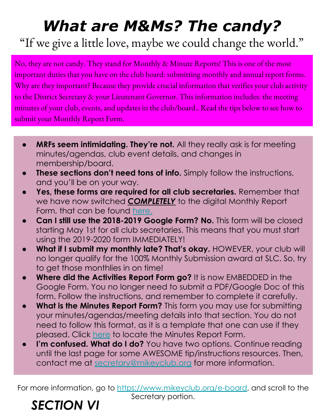# *What are M&Ms? The candy?*

"If we give a little love, maybe we could change the world."

No, they are not candy. They stand for Monthly & Minute Reports! This is one of the most important duties that you have on the club board: submitting monthly and annual report forms. Why are they important? Because they provide crucial information that verifies your club activity to the District Secretary & your Lieutenant Governor. This information includes: the meeting minutes of your club, events, and updates in the club/board.. Read the tips below to see how to submit your Monthly Report Form.

- **MRFs seem intimidating. They're not.** All they really ask is for meeting minutes/agendas, club event details, and changes in membership/board.
- **These sections don't need tons of info.** Simply follow the instructions, and you'll be on your way.
- **● Yes, these forms are required for all club secretaries.** Remember that we have now switched *COMPLETELY* to the digital Monthly Report Form, that can be found [here.](https://docs.google.com/a/mikeyclub.org/forms/d/1hIxCoHIMCjrruKRh1bBme3XT3-93E0v3a4FpuN6l7O8/edit?usp=drive_web)
- **● Can I still use the 2018-2019 Google Form? No.** This form will be closed starting May 1st for all club secretaries. This means that you must start using the 2019-2020 form IMMEDIATELY!
- **What if I submit my monthly late? That's okay. HOWEVER, your club will** no longer qualify for the 100% Monthly Submission award at SLC. So, try to get those monthlies in on time!
- **● Where did the Activities Report Form go?** It is now EMBEDDED in the Google Form. You no longer need to submit a PDF/Google Doc of this form. Follow the instructions, and remember to complete it carefully.
- **What is the Minutes Report Form?** This form you may use for submitting your minutes/agendas/meeting details into that section. You do not need to follow this format, as it is a template that one can use if they pleased. Click [here](https://docs.google.com/document/d/1kCcAfZNKTnnwbq88KOxqLXXSrxcNfoenr4Eh9Rnxpds/edit) to locate the Minutes Report Form.
- **● I'm confused. What do I do?** You have two options. Continue reading until the last page for some AWESOME tip/instructions resources. Then, contact me at [secretary@mikeyclub.org](mailto:secretary@mikeyclub.org) for more information.

For more information, go to<https://www.mikeyclub.org/e-board>, and scroll to the Secretary portion.

### *SECTION VI*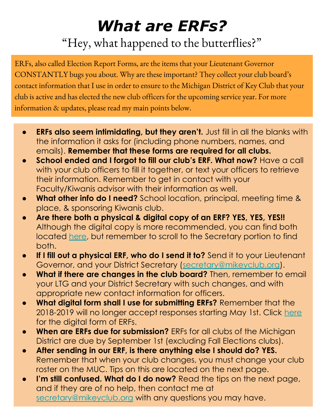# *What are ERFs?*

"Hey, what happened to the butterflies?"

ERFs, also called Election Report Forms, are the items that your Lieutenant Governor CONSTANTLY bugs you about. Why are these important? They collect your club board's contact information that I use in order to ensure to the Michigan District of Key Club that your club is active and has elected the new club officers for the upcoming service year. For more information & updates, please read my main points below.

- **● ERFs also seem intimidating, but they aren't.** Just fill in all the blanks with the information it asks for (including phone numbers, names, and emails). **Remember that these forms are required for all clubs.**
- **● School ended and I forgot to fill our club's ERF. What now?** Have a call with your club officers to fill it together, or text your officers to retrieve their information. Remember to get in contact with your Faculty/Kiwanis advisor with their information as well.
- **● What other info do I need?** School location, principal, meeting time & place, & sponsoring Kiwanis club.
- **● Are there both a physical & digital copy of an ERF? YES, YES, YES!!**  Although the digital copy is more recommended, you can find both located [here,](https://www.mikeyclub.org/e-board) but remember to scroll to the Secretary portion to find both.
- **● If I fill out a physical ERF, who do I send it to?** Send it to your Lieutenant Governor, and your District Secretary ([secretary@mikeyclub.org\)](mailto:secretary@mikeyclub.org).
- **● What if there are changes in the club board?** Then, remember to email your LTG and your District Secretary with such changes, and with appropriate new contact information for officers.
- **● What digital form shall I use for submitting ERFs?** Remember that the 2018-2019 will no longer accept responses starting May 1st. Click [here](https://docs.google.com/forms/d/1Fw8gopAJRx_Df_s1ryDGpMo6D-gJNwc8a8GpTiAJH5w/edit) for the digital form of ERFs.
- **● When are ERFs due for submission?** ERFs for all clubs of the Michigan District are due by September 1st (excluding Fall Elections clubs).
- **● After sending in our ERF, is there anything else I should do? YES.**  Remember that when your club changes, you must change your club roster on the MUC. Tips on this are located on the next page.
- **I'm still confused. What do I do now?** Read the tips on the next page, and if they are of no help, then contact me at [secretary@mikeyclub.org](mailto:secretary@mikeyclub.org) with any questions you may have.